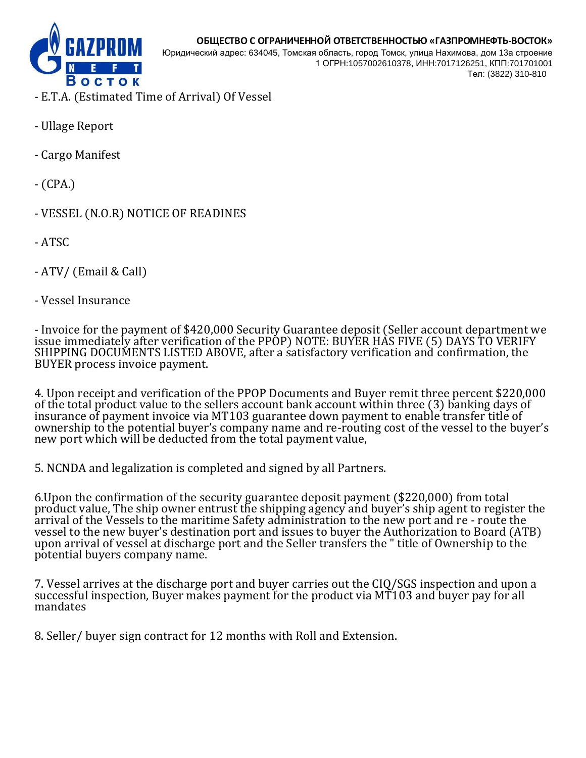

Юридический адрес: 634045, Томская область, город Томск, улица Нахимова, дом 13а строение 1 ОГРН:1057002610378, ИНН:7017126251, КПП:701701001 Teл: (3822) 310-810

- E.T.A. (Estimated Time of Arrival) Of Vessel
- Ullage Report
- Cargo Manifest
- (CPA.)
- VESSEL (N.O.R) NOTICE OF READINES
- ATSC
- ATV/ (Email & Call)
- Vessel Insurance

- Invoice for the payment of \$420,000 Security Guarantee deposit (Seller account department we issue immediately after verification of the PPOP) NOTE: BUYER HAS FIVE (5) DAYS TO VERIFY SHIPPING DOCUMENTS LISTED ABOVE, after a satisfactory verification and confirmation, the BUYER process invoice payment.

4. Upon receipt and verification of the PPOP Documents and Buyer remit three percent \$220,000 of the total product value to the sellers account bank account within three (3) banking days of insurance of payment invoice via MT103 guarantee down payment to enable transfer title of ownership to the potential buyer's company name and re-routing cost of the vessel to the buyer's new port which will be deducted from the total payment value,

5. NCNDA and legalization is completed and signed by all Partners.

6.Upon the confirmation of the security guarantee deposit payment (\$220,000) from total product value, The ship owner entrust the shipping agency and buyer's ship agent to register the arrival of the Vessels to the maritime Safety administration to the new port and re - route the vessel to the new buyer's destination port and issues to buyer the Authorization to Board (ATB) upon arrival of vessel at discharge port and the Seller transfers the " title of Ownership to the potential buyers company name.

7. Vessel arrives at the discharge port and buyer carries out the CIQ/SGS inspection and upon a successful inspection, Buyer makes payment for the product via MT103 and buyer pay for all mandates

8. Seller/ buyer sign contract for 12 months with Roll and Extension.